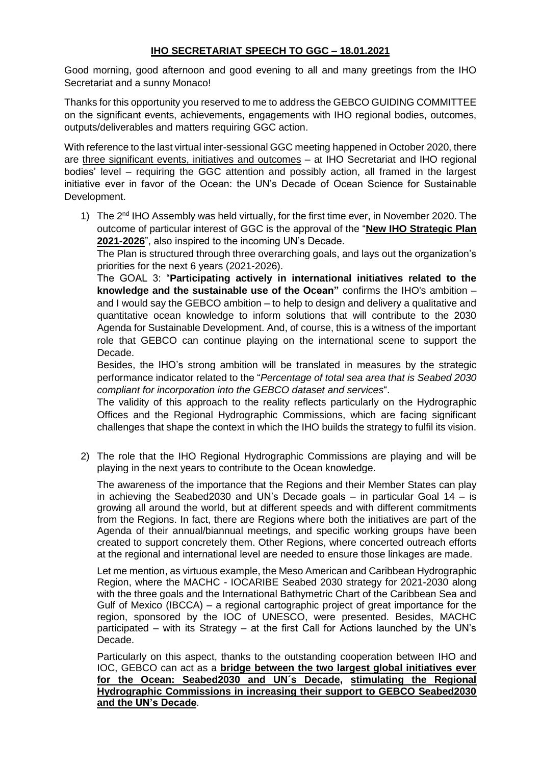## **IHO SECRETARIAT SPEECH TO GGC – 18.01.2021**

Good morning, good afternoon and good evening to all and many greetings from the IHO Secretariat and a sunny Monaco!

Thanks for this opportunity you reserved to me to address the GEBCO GUIDING COMMITTEE on the significant events, achievements, engagements with IHO regional bodies, outcomes, outputs/deliverables and matters requiring GGC action.

With reference to the last virtual inter-sessional GGC meeting happened in October 2020, there are three significant events, initiatives and outcomes – at IHO Secretariat and IHO regional bodies' level – requiring the GGC attention and possibly action, all framed in the largest initiative ever in favor of the Ocean: the UN's Decade of Ocean Science for Sustainable Development.

1) The 2<sup>nd</sup> IHO Assembly was held virtually, for the first time ever, in November 2020. The outcome of particular interest of GGC is the approval of the "**New IHO Strategic Plan 2021-2026**", also inspired to the incoming UN's Decade.

The Plan is structured through three overarching goals, and lays out the organization's priorities for the next 6 years (2021-2026).

The GOAL 3: "**Participating actively in international initiatives related to the knowledge and the sustainable use of the Ocean"** confirms the IHO's ambition – and I would say the GEBCO ambition – to help to design and delivery a qualitative and quantitative ocean knowledge to inform solutions that will contribute to the 2030 Agenda for Sustainable Development. And, of course, this is a witness of the important role that GEBCO can continue playing on the international scene to support the Decade.

Besides, the IHO's strong ambition will be translated in measures by the strategic performance indicator related to the "*Percentage of total sea area that is Seabed 2030 compliant for incorporation into the GEBCO dataset and services*".

The validity of this approach to the reality reflects particularly on the Hydrographic Offices and the Regional Hydrographic Commissions, which are facing significant challenges that shape the context in which the IHO builds the strategy to fulfil its vision.

2) The role that the IHO Regional Hydrographic Commissions are playing and will be playing in the next years to contribute to the Ocean knowledge.

The awareness of the importance that the Regions and their Member States can play in achieving the Seabed2030 and UN's Decade goals – in particular Goal 14 – is growing all around the world, but at different speeds and with different commitments from the Regions. In fact, there are Regions where both the initiatives are part of the Agenda of their annual/biannual meetings, and specific working groups have been created to support concretely them. Other Regions, where concerted outreach efforts at the regional and international level are needed to ensure those linkages are made.

Let me mention, as virtuous example, the Meso American and Caribbean Hydrographic Region, where the MACHC - IOCARIBE Seabed 2030 strategy for 2021-2030 along with the three goals and the International Bathymetric Chart of the Caribbean Sea and Gulf of Mexico (IBCCA) – a regional cartographic project of great importance for the region, sponsored by the IOC of UNESCO, were presented. Besides, MACHC participated – with its Strategy – at the first Call for Actions launched by the UN's Decade.

Particularly on this aspect, thanks to the outstanding cooperation between IHO and IOC, GEBCO can act as a **bridge between the two largest global initiatives ever for the Ocean: Seabed2030 and UN´s Decade, stimulating the Regional Hydrographic Commissions in increasing their support to GEBCO Seabed2030 and the UN's Decade**.